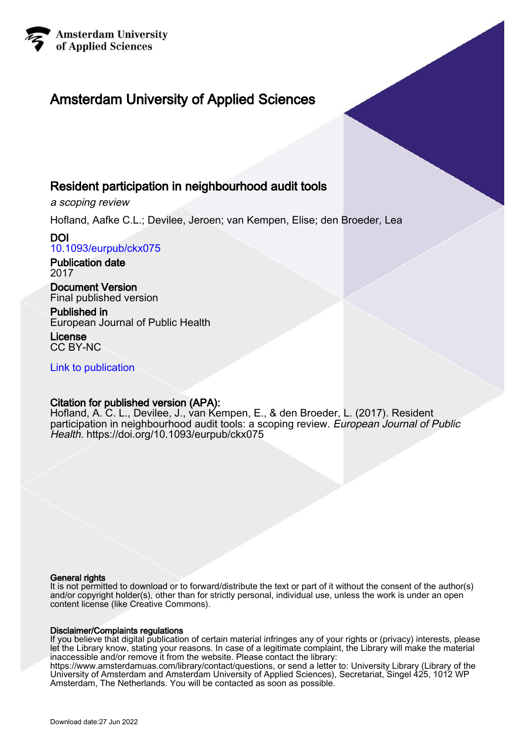

# Amsterdam University of Applied Sciences

# Resident participation in neighbourhood audit tools

a scoping review

Hofland, Aafke C.L.; Devilee, Jeroen; van Kempen, Elise; den Broeder, Lea

DOI [10.1093/eurpub/ckx075](https://doi.org/10.1093/eurpub/ckx075)

Publication date 2017

Document Version Final published version

Published in European Journal of Public Health

License CC BY-NC

[Link to publication](https://research.hva.nl/en/publications/1fd9a791-0c6e-4925-9e01-ad8c83090df2)

# Citation for published version (APA):

Hofland, A. C. L., Devilee, J., van Kempen, E., & den Broeder, L. (2017). Resident participation in neighbourhood audit tools: a scoping review. European Journal of Public Health.<https://doi.org/10.1093/eurpub/ckx075>

### General rights

It is not permitted to download or to forward/distribute the text or part of it without the consent of the author(s) and/or copyright holder(s), other than for strictly personal, individual use, unless the work is under an open content license (like Creative Commons).

### Disclaimer/Complaints regulations

If you believe that digital publication of certain material infringes any of your rights or (privacy) interests, please let the Library know, stating your reasons. In case of a legitimate complaint, the Library will make the material inaccessible and/or remove it from the website. Please contact the library:

https://www.amsterdamuas.com/library/contact/questions, or send a letter to: University Library (Library of the University of Amsterdam and Amsterdam University of Applied Sciences), Secretariat, Singel 425, 1012 WP Amsterdam, The Netherlands. You will be contacted as soon as possible.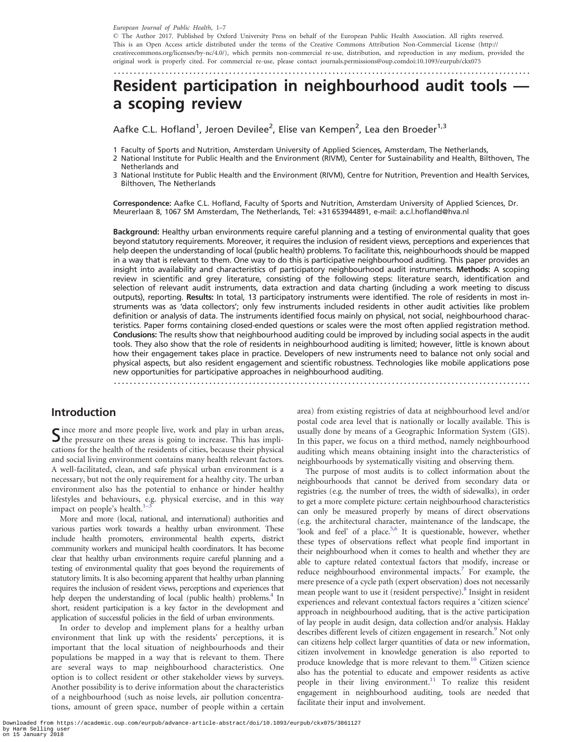European Journal of Public Health, 1–7

- The Author 2017. Published by Oxford University Press on behalf of the European Public Health Association. All rights reserved. This is an Open Access article distributed under the terms of the Creative Commons Attribution Non-Commercial License [\(http://](http://creativecommons.org/licenses/by-nc/4.0/) [creativecommons.org/licenses/by-nc/4.0/\)](http://creativecommons.org/licenses/by-nc/4.0/), which permits non-commercial re-use, distribution, and reproduction in any medium, provided the original work is properly cited. For commercial re-use, please contact journals.permissions@oup.comdoi:10.1093/eurpub/ckx075

### .........................................................................................................

# Resident participation in neighbourhood audit tools a scoping review

Aafke C.L. Hofland<sup>1</sup>, Jeroen Devilee<sup>2</sup>, Elise van Kempen<sup>2</sup>, Lea den Broeder<sup>1,3</sup>

1 Faculty of Sports and Nutrition, Amsterdam University of Applied Sciences, Amsterdam, The Netherlands,

- 2 National Institute for Public Health and the Environment (RIVM), Center for Sustainability and Health, Bilthoven, The Netherlands and
- 3 National Institute for Public Health and the Environment (RIVM), Centre for Nutrition, Prevention and Health Services, Bilthoven, The Netherlands

Correspondence: Aafke C.L. Hofland, Faculty of Sports and Nutrition, Amsterdam University of Applied Sciences, Dr. Meurerlaan 8, 1067 SM Amsterdam, The Netherlands, Tel: +31 653944891, e-mail: a.c.l.hofland@hva.nl

Background: Healthy urban environments require careful planning and a testing of environmental quality that goes beyond statutory requirements. Moreover, it requires the inclusion of resident views, perceptions and experiences that help deepen the understanding of local (public health) problems. To facilitate this, neighbourhoods should be mapped in a way that is relevant to them. One way to do this is participative neighbourhood auditing. This paper provides an insight into availability and characteristics of participatory neighbourhood audit instruments. Methods: A scoping review in scientific and grey literature, consisting of the following steps: literature search, identification and selection of relevant audit instruments, data extraction and data charting (including a work meeting to discuss outputs), reporting. Results: In total, 13 participatory instruments were identified. The role of residents in most instruments was as 'data collectors'; only few instruments included residents in other audit activities like problem definition or analysis of data. The instruments identified focus mainly on physical, not social, neighbourhood characteristics. Paper forms containing closed-ended questions or scales were the most often applied registration method. Conclusions: The results show that neighbourhood auditing could be improved by including social aspects in the audit tools. They also show that the role of residents in neighbourhood auditing is limited; however, little is known about how their engagement takes place in practice. Developers of new instruments need to balance not only social and physical aspects, but also resident engagement and scientific robustness. Technologies like mobile applications pose new opportunities for participative approaches in neighbourhood auditing.

.........................................................................................................

### Introduction

 $S$  ince more and more people live, work and play in urban areas,  $S$  the pressure on these areas is going to increase. This has implications for the health of the residents of cities, because their physical and social living environment contains many health relevant factors. A well-facilitated, clean, and safe physical urban environment is a necessary, but not the only requirement for a healthy city. The urban environment also has the potential to enhance or hinder healthy lifestyles and behaviours, e.g. physical exercise, and in this way impact on people's health. $1-3$ 

More and more (local, national, and international) authorities and various parties work towards a healthy urban environment. These include health promoters, environmental health experts, district community workers and municipal health coordinators. It has become clear that healthy urban environments require careful planning and a testing of environmental quality that goes beyond the requirements of statutory limits. It is also becoming apparent that healthy urban planning requires the inclusion of resident views, perceptions and experiences that help deepen the understanding of local (public health) problems.<sup>4</sup> In short, resident participation is a key factor in the development and application of successful policies in the field of urban environments.

In order to develop and implement plans for a healthy urban environment that link up with the residents' perceptions, it is important that the local situation of neighbourhoods and their populations be mapped in a way that is relevant to them. There are several ways to map neighbourhood characteristics. One option is to collect resident or other stakeholder views by surveys. Another possibility is to derive information about the characteristics of a neighbourhood (such as noise levels, air pollution concentrations, amount of green space, number of people within a certain area) from existing registries of data at neighbourhood level and/or postal code area level that is nationally or locally available. This is usually done by means of a Geographic Information System (GIS). In this paper, we focus on a third method, namely neighbourhood auditing which means obtaining insight into the characteristics of neighbourhoods by systematically visiting and observing them.

The purpose of most audits is to collect information about the neighbourhoods that cannot be derived from secondary data or registries (e.g. the number of trees, the width of sidewalks), in order to get a more complete picture: certain neighbourhood characteristics can only be measured properly by means of direct observations (e.g. the architectural character, maintenance of the landscape, the 'look and feel' of a place.<sup>[5,6](#page-6-0)</sup> It is questionable, however, whether these types of observations reflect what people find important in their neighbourhood when it comes to health and whether they are able to capture related contextual factors that modify, increase or reduce neighbourhood environmental impacts.<sup>7</sup> For example, the mere presence of a cycle path (expert observation) does not necessarily mean people want to use it (resident perspective).<sup>8</sup> Insight in resident experiences and relevant contextual factors requires a 'citizen science' approach in neighbourhood auditing, that is the active participation of lay people in audit design, data collection and/or analysis. Haklay describes different levels of citizen engagement in research.<sup>9</sup> Not only can citizens help collect larger quantities of data or new information, citizen involvement in knowledge generation is also reported to produce knowledge that is more relevant to them.<sup>10</sup> Citizen science also has the potential to educate and empower residents as active people in their living environment.<sup>11</sup> To realize this resident engagement in neighbourhood auditing, tools are needed that facilitate their input and involvement.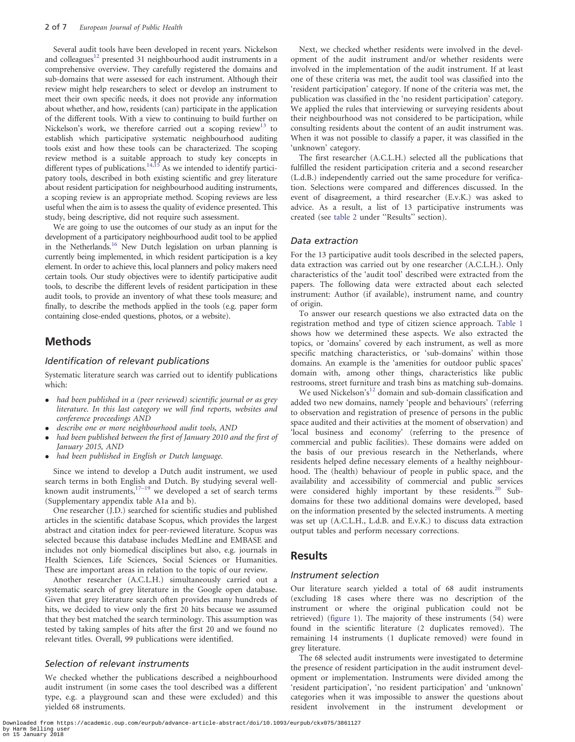Several audit tools have been developed in recent years. Nickelson and colleagues<sup>[12](#page-6-0)</sup> presented 31 neighbourhood audit instruments in a comprehensive overview. They carefully registered the domains and sub-domains that were assessed for each instrument. Although their review might help researchers to select or develop an instrument to meet their own specific needs, it does not provide any information about whether, and how, residents (can) participate in the application of the different tools. With a view to continuing to build further on Nickelson's work, we therefore carried out a scoping review<sup>13</sup> to establish which participative systematic neighbourhood auditing tools exist and how these tools can be characterized. The scoping review method is a suitable approach to study key concepts in different types of publications.<sup>14,15</sup> As we intended to identify participatory tools, described in both existing scientific and grey literature about resident participation for neighbourhood auditing instruments, a scoping review is an appropriate method. Scoping reviews are less useful when the aim is to assess the quality of evidence presented. This study, being descriptive, did not require such assessment.

We are going to use the outcomes of our study as an input for the development of a participatory neighbourhood audit tool to be applied in the Netherlands.<sup>[16](#page-6-0)</sup> New Dutch legislation on urban planning is currently being implemented, in which resident participation is a key element. In order to achieve this, local planners and policy makers need certain tools. Our study objectives were to identify participative audit tools, to describe the different levels of resident participation in these audit tools, to provide an inventory of what these tools measure; and finally, to describe the methods applied in the tools (e.g. paper form containing close-ended questions, photos, or a website).

### Methods

#### Identification of relevant publications

Systematic literature search was carried out to identify publications which:

- $\bullet$  had been published in a (peer reviewed) scientific journal or as grey literature. In this last category we will find reports, websites and conference proceedings AND
- $\bullet$ describe one or more neighbourhood audit tools, AND
- $\bullet$  had been published between the first of January 2010 and the first of January 2015, AND
- $\bullet$ had been published in English or Dutch language.

Since we intend to develop a Dutch audit instrument, we used search terms in both English and Dutch. By studying several wellknown audit instruments, $17-19$  we developed a set of search terms (Supplementary appendix table A1a and b).

One researcher (J.D.) searched for scientific studies and published articles in the scientific database Scopus, which provides the largest abstract and citation index for peer-reviewed literature. Scopus was selected because this database includes MedLine and EMBASE and includes not only biomedical disciplines but also, e.g. journals in Health Sciences, Life Sciences, Social Sciences or Humanities. These are important areas in relation to the topic of our review.

Another researcher (A.C.L.H.) simultaneously carried out a systematic search of grey literature in the Google open database. Given that grey literature search often provides many hundreds of hits, we decided to view only the first 20 hits because we assumed that they best matched the search terminology. This assumption was tested by taking samples of hits after the first 20 and we found no relevant titles. Overall, 99 publications were identified.

#### Selection of relevant instruments

We checked whether the publications described a neighbourhood audit instrument (in some cases the tool described was a different type, e.g. a playground scan and these were excluded) and this yielded 68 instruments.

Next, we checked whether residents were involved in the development of the audit instrument and/or whether residents were involved in the implementation of the audit instrument. If at least one of these criteria was met, the audit tool was classified into the 'resident participation' category. If none of the criteria was met, the publication was classified in the 'no resident participation' category. We applied the rules that interviewing or surveying residents about their neighbourhood was not considered to be participation, while consulting residents about the content of an audit instrument was. When it was not possible to classify a paper, it was classified in the 'unknown' category.

The first researcher (A.C.L.H.) selected all the publications that fulfilled the resident participation criteria and a second researcher (L.d.B.) independently carried out the same procedure for verification. Selections were compared and differences discussed. In the event of disagreement, a third researcher (E.v.K.) was asked to advice. As a result, a list of 13 participative instruments was created (see [table 2](#page-4-0) under ''Results'' section).

#### Data extraction

For the 13 participative audit tools described in the selected papers, data extraction was carried out by one researcher (A.C.L.H.). Only characteristics of the 'audit tool' described were extracted from the papers. The following data were extracted about each selected instrument: Author (if available), instrument name, and country of origin.

To answer our research questions we also extracted data on the registration method and type of citizen science approach. [Table 1](#page-3-0) shows how we determined these aspects. We also extracted the topics, or 'domains' covered by each instrument, as well as more specific matching characteristics, or 'sub-domains' within those domains. An example is the 'amenities for outdoor public spaces' domain with, among other things, characteristics like public restrooms, street furniture and trash bins as matching sub-domains.

We used Nickelson's<sup>[12](#page-6-0)</sup> domain and sub-domain classification and added two new domains, namely 'people and behaviours' (referring to observation and registration of presence of persons in the public space audited and their activities at the moment of observation) and 'local business and economy' (referring to the presence of commercial and public facilities). These domains were added on the basis of our previous research in the Netherlands, where residents helped define necessary elements of a healthy neighbourhood. The (health) behaviour of people in public space, and the availability and accessibility of commercial and public services were considered highly important by these residents.<sup>[20](#page-6-0)</sup> Subdomains for these two additional domains were developed, based on the information presented by the selected instruments. A meeting was set up (A.C.L.H., L.d.B. and E.v.K.) to discuss data extraction output tables and perform necessary corrections.

#### Results

#### Instrument selection

Our literature search yielded a total of 68 audit instruments (excluding 18 cases where there was no description of the instrument or where the original publication could not be retrieved) ([figure 1\)](#page-5-0). The majority of these instruments (54) were found in the scientific literature (2 duplicates removed). The remaining 14 instruments (1 duplicate removed) were found in grey literature.

The 68 selected audit instruments were investigated to determine the presence of resident participation in the audit instrument development or implementation. Instruments were divided among the 'resident participation', 'no resident participation' and 'unknown' categories when it was impossible to answer the questions about resident involvement in the instrument development or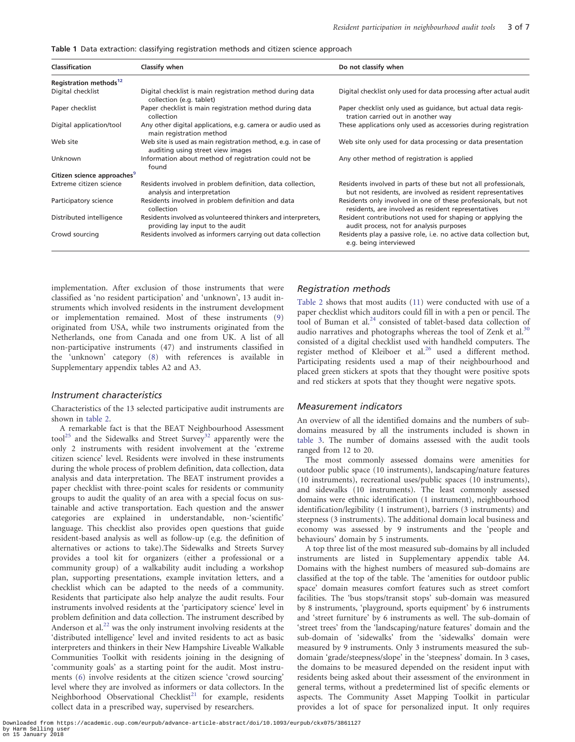<span id="page-3-0"></span>Table 1 Data extraction: classifying registration methods and citizen science approach

| <b>Classification</b>                   | Classify when                                                                                      | Do not classify when                                                                                                           |  |  |  |  |  |
|-----------------------------------------|----------------------------------------------------------------------------------------------------|--------------------------------------------------------------------------------------------------------------------------------|--|--|--|--|--|
| Registration methods <sup>12</sup>      |                                                                                                    |                                                                                                                                |  |  |  |  |  |
| Digital checklist                       | Digital checklist is main registration method during data<br>collection (e.g. tablet)              | Digital checklist only used for data processing after actual audit                                                             |  |  |  |  |  |
| Paper checklist                         | Paper checklist is main registration method during data<br>collection                              | Paper checklist only used as guidance, but actual data regis-<br>tration carried out in another way                            |  |  |  |  |  |
| Digital application/tool                | Any other digital applications, e.g. camera or audio used as<br>main registration method           | These applications only used as accessories during registration                                                                |  |  |  |  |  |
| Web site                                | Web site is used as main registration method, e.g. in case of<br>auditing using street view images | Web site only used for data processing or data presentation                                                                    |  |  |  |  |  |
| Unknown                                 | Information about method of registration could not be<br>found                                     | Any other method of registration is applied                                                                                    |  |  |  |  |  |
| Citizen science approaches <sup>9</sup> |                                                                                                    |                                                                                                                                |  |  |  |  |  |
| Extreme citizen science                 | Residents involved in problem definition, data collection,<br>analysis and interpretation          | Residents involved in parts of these but not all professionals,<br>but not residents, are involved as resident representatives |  |  |  |  |  |
| Participatory science                   | Residents involved in problem definition and data<br>collection                                    | Residents only involved in one of these professionals, but not<br>residents, are involved as resident representatives          |  |  |  |  |  |
| Distributed intelligence                | Residents involved as volunteered thinkers and interpreters.<br>providing lay input to the audit   | Resident contributions not used for shaping or applying the<br>audit process, not for analysis purposes                        |  |  |  |  |  |
| Crowd sourcing                          | Residents involved as informers carrying out data collection                                       | Residents play a passive role, i.e. no active data collection but,<br>e.g. being interviewed                                   |  |  |  |  |  |

implementation. After exclusion of those instruments that were classified as 'no resident participation' and 'unknown', 13 audit instruments which involved residents in the instrument development or implementation remained. Most of these instruments ([9](#page-6-0)) originated from USA, while two instruments originated from the Netherlands, one from Canada and one from UK. A list of all non-participative instruments (47) and instruments classified in the 'unknown' category [\(8\)](#page-6-0) with references is available in Supplementary appendix tables A2 and A3.

#### Instrument characteristics

Characteristics of the 13 selected participative audit instruments are shown in [table 2](#page-4-0).

A remarkable fact is that the BEAT Neighbourhood Assessment tool<sup>25</sup> and the Sidewalks and Street Survey<sup>[32](#page-7-0)</sup> apparently were the only 2 instruments with resident involvement at the 'extreme citizen science' level. Residents were involved in these instruments during the whole process of problem definition, data collection, data analysis and data interpretation. The BEAT instrument provides a paper checklist with three-point scales for residents or community groups to audit the quality of an area with a special focus on sustainable and active transportation. Each question and the answer categories are explained in understandable, non-'scientific' language. This checklist also provides open questions that guide resident-based analysis as well as follow-up (e.g. the definition of alternatives or actions to take).The Sidewalks and Streets Survey provides a tool kit for organizers (either a professional or a community group) of a walkability audit including a workshop plan, supporting presentations, example invitation letters, and a checklist which can be adapted to the needs of a community. Residents that participate also help analyze the audit results. Four instruments involved residents at the 'participatory science' level in problem definition and data collection. The instrument described by Anderson et al.<sup>22</sup> was the only instrument involving residents at the 'distributed intelligence' level and invited residents to act as basic interpreters and thinkers in their New Hampshire Liveable Walkable Communities Toolkit with residents joining in the designing of 'community goals' as a starting point for the audit. Most instruments ([6\)](#page-6-0) involve residents at the citizen science 'crowd sourcing' level where they are involved as informers or data collectors. In the Neighborhood Observational Checklist<sup>[21](#page-7-0)</sup> for example, residents collect data in a prescribed way, supervised by researchers.

#### Registration methods

[Table 2](#page-4-0) shows that most audits [\(11](#page-6-0)) were conducted with use of a paper checklist which auditors could fill in with a pen or pencil. The tool of Buman et al.<sup>[24](#page-7-0)</sup> consisted of tablet-based data collection of audio narratives and photographs whereas the tool of Zenk et al. $30$ consisted of a digital checklist used with handheld computers. The register method of Kleiboer et al.<sup>[26](#page-7-0)</sup> used a different method. Participating residents used a map of their neighbourhood and placed green stickers at spots that they thought were positive spots and red stickers at spots that they thought were negative spots.

#### Measurement indicators

An overview of all the identified domains and the numbers of subdomains measured by all the instruments included is shown in [table 3](#page-5-0). The number of domains assessed with the audit tools ranged from 12 to 20.

The most commonly assessed domains were amenities for outdoor public space (10 instruments), landscaping/nature features (10 instruments), recreational uses/public spaces (10 instruments), and sidewalks (10 instruments). The least commonly assessed domains were ethnic identification (1 instrument), neighbourhood identification/legibility (1 instrument), barriers (3 instruments) and steepness (3 instruments). The additional domain local business and economy was assessed by 9 instruments and the 'people and behaviours' domain by 5 instruments.

A top three list of the most measured sub-domains by all included instruments are listed in Supplementary appendix table A4. Domains with the highest numbers of measured sub-domains are classified at the top of the table. The 'amenities for outdoor public space' domain measures comfort features such as street comfort facilities. The 'bus stops/transit stops' sub-domain was measured by 8 instruments, 'playground, sports equipment' by 6 instruments and 'street furniture' by 6 instruments as well. The sub-domain of 'street trees' from the 'landscaping/nature features' domain and the sub-domain of 'sidewalks' from the 'sidewalks' domain were measured by 9 instruments. Only 3 instruments measured the subdomain 'grade/steepness/slope' in the 'steepness' domain. In 3 cases, the domains to be measured depended on the resident input with residents being asked about their assessment of the environment in general terms, without a predetermined list of specific elements or aspects. The Community Asset Mapping Toolkit in particular provides a lot of space for personalized input. It only requires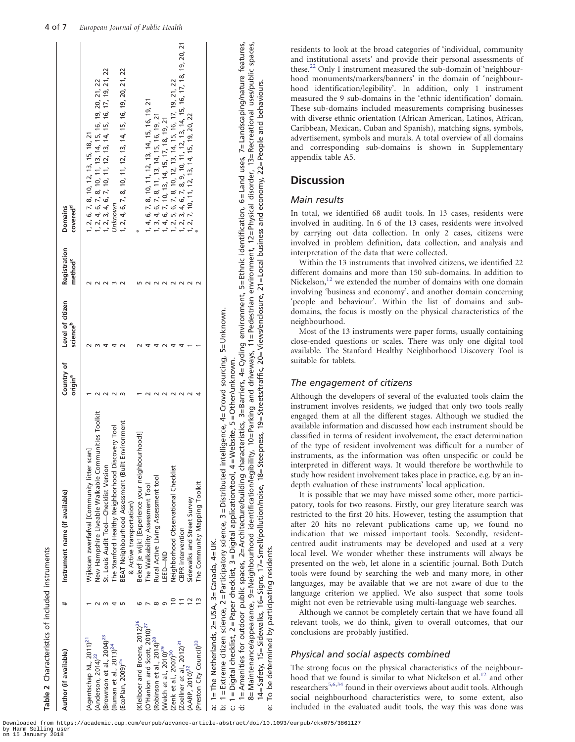<span id="page-4-0"></span>

| Author (if available)                        | Instrument name (if available)                                                                                                                                                                                                       | Country of<br>origin <sup>a</sup> | Level of citizen<br>science <sup>b</sup> | Registration<br>method <sup>c</sup> | covered <sup>d</sup><br>Domains                                                                                                           |
|----------------------------------------------|--------------------------------------------------------------------------------------------------------------------------------------------------------------------------------------------------------------------------------------|-----------------------------------|------------------------------------------|-------------------------------------|-------------------------------------------------------------------------------------------------------------------------------------------|
| (Agentschap NL, 2011) <sup>21</sup>          | Wijkscan zwerfafval [Community litter scan]                                                                                                                                                                                          |                                   |                                          |                                     | , 2, 6, 7, 8, 10, 12, 13, 15, 18, 21                                                                                                      |
| $(Anderson, 2014)^{22}$                      | New Hampshire Liveable Walkable Communities Toolkit                                                                                                                                                                                  |                                   |                                          |                                     |                                                                                                                                           |
| $(Brownson$ et al., $2004)^{23}$             | St. Louis Audit Tool-Checklist Version                                                                                                                                                                                               |                                   |                                          |                                     | 1, 2, 4, 6, 7, 8, 10, 11, 13, 14, 15, 16, 19, 20, 21, 22<br>1, 2, 3, 4, 6, 7, 10, 11, 12, 13, 14, 15, 16, 17, 19, 21, 22                  |
| (Buman et al., 2013) <sup>24</sup>           | The Stanford Healthy Neighborhood Discovery Tool                                                                                                                                                                                     |                                   |                                          |                                     | Jnknown                                                                                                                                   |
| (EcoPlan, 2009) <sup>25</sup>                | BEAT Neighbourhood Assessment (Built Environment                                                                                                                                                                                     |                                   |                                          |                                     | 1, 2, 4, 6, 7, 8, 10, 11, 12, 13, 14, 15, 16, 19, 20, 21, 22                                                                              |
|                                              | & Active transportation)                                                                                                                                                                                                             |                                   |                                          |                                     |                                                                                                                                           |
| (Kleiboer and Broens, 2012) <sup>26</sup>    | Beleef je wijk! [Experience your neighbourhood!]                                                                                                                                                                                     |                                   |                                          |                                     |                                                                                                                                           |
| (O'Hanlon and Scott, 2010) <sup>27</sup>     | The Walkability Assessment Tool                                                                                                                                                                                                      |                                   |                                          |                                     | 4, 6, 7, 8, 10, 11, 12, 13, 14, 15, 16, 19, 21                                                                                            |
| (Robinson et al., 2014) <sup>28</sup>        | Rural Active Living Assessment tool                                                                                                                                                                                                  |                                   |                                          |                                     |                                                                                                                                           |
| (Welch et al., 2010) <sup>29</sup>           | LEED-ND                                                                                                                                                                                                                              |                                   |                                          |                                     | $\begin{array}{l} 3,4,6,7,8,11,13,14,15,16,19,21 \\ 4,6,7,10,13,14,15,17,18,19,21 \\ 2,5,6,7,8,10,12,13,14,15,16,17,19,21,22 \end{array}$ |
| (Zenk et al., 2007) <sup>30</sup>            | Neighborhood Observational Checklist                                                                                                                                                                                                 |                                   |                                          |                                     |                                                                                                                                           |
| (Zoellner et al., 2012) <sup>31</sup>        | <b>CBPR</b> intervention                                                                                                                                                                                                             |                                   |                                          |                                     |                                                                                                                                           |
| $(AARP, 2010)^{32}$                          | Sidewalks and Street Survey                                                                                                                                                                                                          |                                   |                                          |                                     | 1, 2, 3, 4, 6, 7, 8, 9, 10, 11, 12, 13, 14, 15, 16, 17, 18, 19, 20, 21<br>1, 2, 7, 10, 11, 12, 13, 14, 15, 19, 20, 22                     |
| (Preston City Council) <sup>33</sup>         | The Community Mapping Toolkit                                                                                                                                                                                                        |                                   |                                          |                                     |                                                                                                                                           |
| a: 1=The Netherlands, 2=USA, 3=Canada, 4=UK. | b: 1 = Extreme citizen science, 2 = Participatory science, 3 = Distributed intelligence, 4= Crowd sourcing, 5= Unknown.<br>/ebsite, 5 = Other/unknown.<br>c: 1=Digital checklist, 2=Paper checklist, 3=Digital application/tool, 4=W |                                   |                                          |                                     |                                                                                                                                           |

d: 1= Amenities for outdoor public spaces, 2= Architecture/building characteristics, 3= Barriers, 4= Cycling environment, 5= Ethnic identification, 6 = Land uses, 7= Landscaping/nature features, 8= Maintenance/appearance, 9= Neighbourhood identification/legibility, 10= Parking and driveways, 11= Pedestrian environment, 12= Physical disorder, 13= Recreational uses/public spaces, 1= Amenities for outdoor public spaces, 2= Architecture/building characteristics, 3= Barriers, 4= Cycling environment, 1= Digital checklist, 2= Paper checklist, 3 = Digital application/tool, 4 = Website, 5 = Other/unknown. c: 1 = Digital checklist, 2 = Paper checklist, 3 = Digital application/tool, 4 = Website, 5 = Other/unknown.

e: To be determined by participating residents.

 $\overline{C}$ äί

 $\ddot{\sigma}$ 

be determined by participating residents

8= Maintenance/appearance, 9= Neighbourhood identification/legibility, 10= Parking and driveways, 11= Pedestrian environment, 12= Physical disorder, 13= Recreational uses/public spaces,

5= Ethnic identification, 6 = Land uses, 7 = Landscaping/nature features,

14= Safety, 15= Sidewalks, 16= Signs, 17= Smell/pollution/noise, 18= Steepness, 19= Streets/traffic, 20= Views/enclosure, 21= Local business and economy, 22= People and behaviours.

14=Safety, 15=Sidewalks, 16=Signs, 17=Smell/pollution/noise, 18=Steepness, 19=Streets/traffic, 20=Views/enclosure, 21=Local business and economy, 22=People and behaviours.

residents to look at the broad categories of 'individual, community and institutional assets' and provide their personal assessments of these.<sup>[22](#page-7-0)</sup> Only 1 instrument measured the sub-domain of 'neighbourhood monuments/markers/banners' in the domain of 'neighbourhood identification/legibility'. In addition, only 1 instrument measured the 9 sub-domains in the 'ethnic identification' domain. These sub-domains included measurements comprising businesses with diverse ethnic orientation (African American, Latinos, African, Caribbean, Mexican, Cuban and Spanish), matching signs, symbols, advertisement, symbols and murals. A total overview of all domains and corresponding sub-domains is shown in Supplementary appendix table A5.

# **Discussion**

# Main results

In total, we identified 68 audit tools. In 13 cases, residents were involved in auditing. In 6 of the 13 cases, residents were involved by carrying out data collection. In only 2 cases, citizens were involved in problem definition, data collection, and analysis and interpretation of the data that were collected.

Within the 13 instruments that involved citizens, we identified 22 different domains and more than 150 sub-domains. In addition to Nickelson, $12$  we extended the number of domains with one domain involving 'business and economy', and another domain concerning 'people and behaviour'. Within the list of domains and subdomains, the focus is mostly on the physical characteristics of the neighbourhood.

Most of the 13 instruments were paper forms, usually containing close-ended questions or scales. There was only one digital tool available. The Stanford Healthy Neighborhood Discovery Tool is suitable for tablets.

# The engagement of citizens

Although the developers of several of the evaluated tools claim the instrument involves residents, we judged that only two tools really engaged them at all the different stages. Although we studied the available information and discussed how each instrument should be classified in terms of resident involvement, the exact determination of the type of resident involvement was difficult for a number of instruments, as the information was often unspecific or could be interpreted in different ways. It would therefore be worthwhile to study how resident involvement takes place in practice, e.g. by an indepth evaluation of these instruments' local application.

It is possible that we may have missed some other, more participatory, tools for two reasons. Firstly, our grey literature search was restricted to the first 20 hits. However, testing the assumption that after 20 hits no relevant publications came up, we found no indication that we missed important tools. Secondly, residentcentred audit instruments may be developed and used at a very local level. We wonder whether these instruments will always be presented on the web, let alone in a scientific journal. Both Dutch tools were found by searching the web and many more, in other languages, may be available that we are not aware of due to the language criterion we applied. We also suspect that some tools might not even be retrievable using multi-language web searches.

Although we cannot be completely certain that we have found all relevant tools, we do think, given to overall outcomes, that our conclusions are probably justified.

# Physical and social aspects combined

The strong focus on the physical characteristics of the neighbour-hood that we found is similar to what Nickelson et al.<sup>[12](#page-6-0)</sup> and other researchers<sup>[5,6,](#page-6-0)[34](#page-7-0)</sup> found in their overviews about audit tools. Although social neighbourhood characteristics were, to some extent, also included in the evaluated audit tools, the way this was done was

by Harm Selling user on 15 January 2018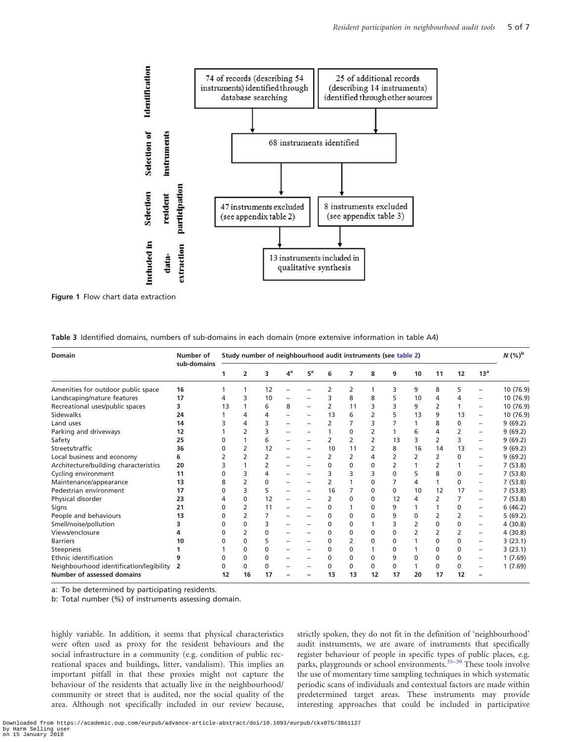<span id="page-5-0"></span>

Figure 1 Flow chart data extraction

| Table 3 Identified domains, numbers of sub-domains in each domain (more extensive information in table A4) |  |  |  |
|------------------------------------------------------------------------------------------------------------|--|--|--|
|                                                                                                            |  |  |  |

| Number of<br><b>Domain</b>              |             | Study number of neighbourhood audit instruments (see table 2) |              |              |       |                          |                          |          |                |              |              | $N$ $(\%)^{\rm b}$ |              |                          |           |
|-----------------------------------------|-------------|---------------------------------------------------------------|--------------|--------------|-------|--------------------------|--------------------------|----------|----------------|--------------|--------------|--------------------|--------------|--------------------------|-----------|
|                                         | sub-domains |                                                               | 2            | 3            | $4^a$ | $5^a$                    | 6                        | 7        | 8              | 9            | 10           | 11                 | 12           | 13 <sup>a</sup>          |           |
| Amenities for outdoor public space      | 16          |                                                               |              | 12           |       |                          |                          | 2        |                | 3            | 9            | 8                  | 5            |                          | 10 (76.9) |
| Landscaping/nature features             | 17          |                                                               |              | 10           |       |                          | 3                        | 8        | 8              | 5            | 10           | 4                  | 4            |                          | 10 (76.9) |
| Recreational uses/public spaces         | 3           | 13                                                            |              | 6            | 8     | $\overline{\phantom{0}}$ | 2                        | 11       | 3              | 3            | 9            |                    |              | $\overline{\phantom{0}}$ | 10 (76.9) |
| <b>Sidewalks</b>                        | 24          |                                                               |              | 4            |       |                          | 13                       | 6        | $\overline{2}$ | 5            | 13           | 9                  | 13           | -                        | 10 (76.9) |
| Land uses                               | 14          |                                                               | 4            | З            |       |                          | 2                        |          | ξ              |              |              | 8                  | $\Omega$     | -                        | 9(69.2)   |
| Parking and driveways                   | 12          |                                                               |              | 3            |       |                          |                          | $\Omega$ | 2              |              | 6            | 4                  | 2            | -                        | 9(69.2)   |
| Safety                                  | 25          | 0                                                             |              | 6            |       |                          | $\overline{\phantom{a}}$ | 2        | $\overline{2}$ | 13           | 3            | $\overline{2}$     | 3            | -                        | 9(69.2)   |
| Streets/traffic                         | 36          | n                                                             | 2            | 12           |       |                          | 10                       | 11       | $\overline{2}$ | 8            | 16           | 14                 | 13           | -                        | 9(69.2)   |
| Local business and economy              | 6           |                                                               | 2            | 2            |       |                          | 2                        | 2        | 4              | 2            | 2            | 2                  | $\Omega$     | -                        | 9(69.2)   |
| Architecture/building characteristics   | 20          |                                                               |              | 2            |       |                          | 0                        | 0        | $\Omega$       | 2            |              | 2                  |              | $\overline{\phantom{0}}$ | 7(53.8)   |
| Cycling environment                     | 11          | n                                                             | 3            | 4            |       |                          | 3                        | 3        | 3              | $\mathbf{0}$ | 5            | 8                  | $\Omega$     | -                        | 7(53.8)   |
| Maintenance/appearance                  | 13          | 8                                                             |              | $\Omega$     |       |                          | 2                        |          | 0              |              | 4            | 1                  | $\mathbf{0}$ | -                        | 7(53.8)   |
| Pedestrian environment                  | 17          | 0                                                             | 3            | 5            |       |                          | 16                       |          | 0              | $\mathbf{0}$ | 10           | 12                 | 17           | $\qquad \qquad -$        | 7(53.8)   |
| Physical disorder                       | 23          | 4                                                             | 0            | 12           |       |                          | 2                        | 0        | $\mathbf{0}$   | 12           | 4            | 2                  | 7            | -                        | 7(53.8)   |
| Signs                                   | 21          | 0                                                             |              | 11           |       |                          | 0                        |          | $\mathbf{0}$   | 9            |              |                    | 0            | $\overline{\phantom{0}}$ | 6(46.2)   |
| People and behaviours                   | 13          | 0                                                             |              |              |       |                          | 0                        | 0        | $\Omega$       | 9            | $\mathbf{0}$ |                    |              | $\overline{\phantom{0}}$ | 5(69.2)   |
| Smell/noise/pollution                   |             | n                                                             | $\Omega$     | 3            |       |                          | $\Omega$                 | 0        |                |              | 2            | $\Omega$           | 0            | -                        | 4(30.8)   |
| Views/enclosure                         |             | 0                                                             |              | $\Omega$     |       |                          | 0                        | 0        | 0              | $\Omega$     | 2            | 2                  |              | $\qquad \qquad -$        | 4(30.8)   |
| <b>Barriers</b>                         | 10          |                                                               | $\mathbf{0}$ | 5            |       |                          | 0                        |          | $\mathbf{0}$   | 0            |              | 0                  | 0            | $\overline{\phantom{0}}$ | 3(23.1)   |
| Steepness                               |             |                                                               | 0            | $\Omega$     |       |                          | $\Omega$                 | $\Omega$ |                | $\Omega$     |              | 0                  | $\Omega$     | $\overline{\phantom{0}}$ | 3(23.1)   |
| Ethnic identification                   |             | 0                                                             | $\Omega$     | $\Omega$     |       |                          | $\Omega$                 | 0        | $\mathbf{0}$   | 9            | $\Omega$     | $\Omega$           | $\Omega$     | $\overline{\phantom{0}}$ | 1(7.69)   |
| Neighbourhood identification/legibility | 2           | 0                                                             | $\Omega$     | $\mathbf{0}$ |       |                          | 0                        | 0        | 0              | 0            |              | $\Omega$           | 0            | -                        | 1(7.69)   |
| <b>Number of assessed domains</b>       |             | 12                                                            | 16           | 17           |       |                          | 13                       | 13       | 12             | 17           | 20           | 17                 | 12           |                          |           |

a: To be determined by participating residents.

b: Total number (%) of instruments assessing domain.

highly variable. In addition, it seems that physical characteristics were often used as proxy for the resident behaviours and the social infrastructure in a community (e.g. condition of public recreational spaces and buildings, litter, vandalism). This implies an important pitfall in that these proxies might not capture the behaviour of the residents that actually live in the neighbourhood/ community or street that is audited, nor the social quality of the area. Although not specifically included in our review because, strictly spoken, they do not fit in the definition of 'neighbourhood' audit instruments, we are aware of instruments that specifically register behaviour of people in specific types of public places, e.g. parks, playgrounds or school environments.[35–39](#page-7-0) These tools involve the use of momentary time sampling techniques in which systematic periodic scans of individuals and contextual factors are made within predetermined target areas. These instruments may provide interesting approaches that could be included in participative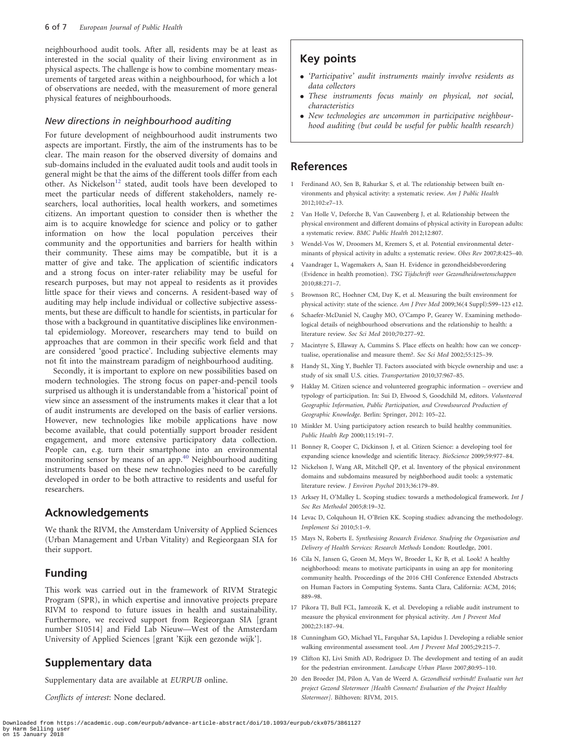<span id="page-6-0"></span>neighbourhood audit tools. After all, residents may be at least as interested in the social quality of their living environment as in physical aspects. The challenge is how to combine momentary measurements of targeted areas within a neighbourhood, for which a lot of observations are needed, with the measurement of more general physical features of neighbourhoods.

#### New directions in neighbourhood auditing

For future development of neighbourhood audit instruments two aspects are important. Firstly, the aim of the instruments has to be clear. The main reason for the observed diversity of domains and sub-domains included in the evaluated audit tools and audit tools in general might be that the aims of the different tools differ from each other. As Nickelson<sup>12</sup> stated, audit tools have been developed to meet the particular needs of different stakeholders, namely researchers, local authorities, local health workers, and sometimes citizens. An important question to consider then is whether the aim is to acquire knowledge for science and policy or to gather information on how the local population perceives their community and the opportunities and barriers for health within their community. These aims may be compatible, but it is a matter of give and take. The application of scientific indicators and a strong focus on inter-rater reliability may be useful for research purposes, but may not appeal to residents as it provides little space for their views and concerns. A resident-based way of auditing may help include individual or collective subjective assessments, but these are difficult to handle for scientists, in particular for those with a background in quantitative disciplines like environmental epidemiology. Moreover, researchers may tend to build on approaches that are common in their specific work field and that are considered 'good practice'. Including subjective elements may not fit into the mainstream paradigm of neighbourhood auditing.

Secondly, it is important to explore on new possibilities based on modern technologies. The strong focus on paper-and-pencil tools surprised us although it is understandable from a 'historical' point of view since an assessment of the instruments makes it clear that a lot of audit instruments are developed on the basis of earlier versions. However, new technologies like mobile applications have now become available, that could potentially support broader resident engagement, and more extensive participatory data collection. People can, e.g. turn their smartphone into an environmental monitoring sensor by means of an app.<sup>[40](#page-7-0)</sup> Neighbourhood auditing instruments based on these new technologies need to be carefully developed in order to be both attractive to residents and useful for researchers.

### Acknowledgements

We thank the RIVM, the Amsterdam University of Applied Sciences (Urban Management and Urban Vitality) and Regieorgaan SIA for their support.

### Funding

This work was carried out in the framework of RIVM Strategic Program (SPR), in which expertise and innovative projects prepare RIVM to respond to future issues in health and sustainability. Furthermore, we received support from Regieorgaan SIA [grant number S10514] and Field Lab Nieuw—West of the Amsterdam University of Applied Sciences [grant 'Kijk een gezonde wijk'].

### Supplementary data

Supplementary data are available at EURPUB online.

Conflicts of interest: None declared.

### Key points

- 'Participative' audit instruments mainly involve residents as data collectors
- These instruments focus mainly on physical, not social, characteristics
- New technologies are uncommon in participative neighbourhood auditing (but could be useful for public health research)

### References

- 1 Ferdinand AO, Sen B, Rahurkar S, et al. The relationship between built environments and physical activity: a systematic review. Am J Public Health 2012;102:e7–13.
- 2 Van Holle V, Deforche B, Van Cauwenberg J, et al. Relationship between the physical environment and different domains of physical activity in European adults: a systematic review. BMC Public Health 2012;12:807.
- 3 Wendel-Vos W, Droomers M, Kremers S, et al. Potential environmental determinants of physical activity in adults: a systematic review. Obes Rev 2007;8:425–40.
- 4 Vaandrager L, Wagemakers A, Saan H. Evidence in gezondheidsbevordering (Evidence in health promotion). TSG Tijdschrift voor Gezondheidswetenschappen 2010;88:271–7.
- 5 Brownson RC, Hoehner CM, Day K, et al. Measuring the built environment for physical activity: state of the science. Am J Prev Med 2009;36(4 Suppl):S99–123 e12.
- 6 Schaefer-McDaniel N, Caughy MO, O'Campo P, Gearey W. Examining methodological details of neighbourhood observations and the relationship to health: a literature review. Soc Sci Med 2010;70:277–92.
- 7 Macintyre S, Ellaway A, Cummins S. Place effects on health: how can we conceptualise, operationalise and measure them?. Soc Sci Med 2002;55:125–39.
- 8 Handy SL, Xing Y, Buehler TJ. Factors associated with bicycle ownership and use: a study of six small U.S. cities. Transportation 2010;37:967–85.
- 9 Haklay M. Citizen science and volunteered geographic information overview and typology of participation. In: Sui D, Elwood S, Goodchild M, editors. Volunteered Geographic Information, Public Participation, and Crowdsourced Production of Geographic Knowledge. Berlin: Springer, 2012: 105–22.
- 10 Minkler M. Using participatory action research to build healthy communities. Public Health Rep 2000;115:191–7.
- 11 Bonney R, Cooper C, Dickinson J, et al. Citizen Science: a developing tool for expanding science knowledge and scientific literacy. BioScience 2009;59:977–84.
- 12 Nickelson J, Wang AR, Mitchell QP, et al. Inventory of the physical environment domains and subdomains measured by neighborhood audit tools: a systematic literature review. J Environ Psychol 2013;36:179–89.
- 13 Arksey H, O'Malley L. Scoping studies: towards a methodological framework. Int J Soc Res Methodol 2005;8:19–32.
- 14 Levac D, Colquhoun H, O'Brien KK. Scoping studies: advancing the methodology. Implement Sci 2010;5:1–9.
- 15 Mays N, Roberts E. Synthesising Research Evidence. Studying the Organisation and Delivery of Health Services: Research Methods London: Routledge, 2001.
- 16 Cila N, Jansen G, Groen M, Meys W, Broeder L, Kr B, et al. Look! A healthy neighborhood: means to motivate participants in using an app for monitoring community health. Proceedings of the 2016 CHI Conference Extended Abstracts on Human Factors in Computing Systems. Santa Clara, California: ACM, 2016; 889–98.
- 17 Pikora TJ, Bull FCL, Jamrozik K, et al. Developing a reliable audit instrument to measure the physical environment for physical activity. Am J Prevent Med 2002;23:187–94.
- 18 Cunningham GO, Michael YL, Farquhar SA, Lapidus J. Developing a reliable senior walking environmental assessment tool. Am J Prevent Med 2005;29:215–7.
- 19 Clifton KJ, Livi Smith AD, Rodriguez D. The development and testing of an audit for the pedestrian environment. Landscape Urban Plann 2007;80:95–110.
- 20 den Broeder JM, Pilon A, Van de Weerd A. Gezondheid verbindt! Evaluatie van het project Gezond Slotermeer [Health Connects! Evaluation of the Project Healthy Slotermeer]. Bilthoven: RIVM, 2015.